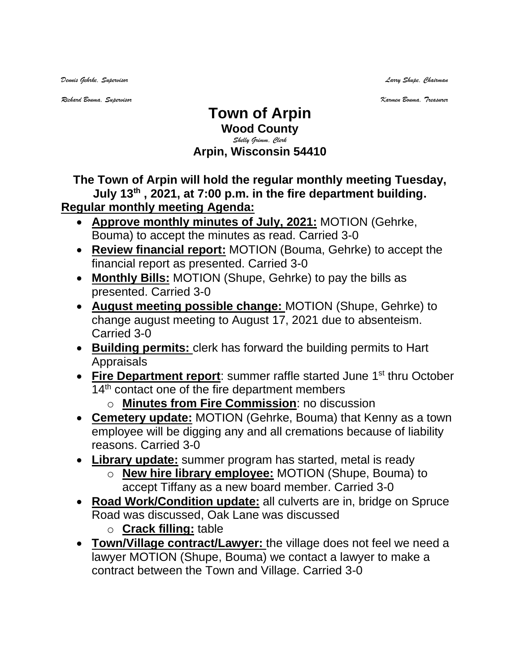*Dennis Gehrke, Supervisor Larry Shupe, Chairman* 

*Richard Bouma, Supervisor Karmen Bouma, Treasurer*

## **Town of Arpin Wood County** *Shelly Grimm, Clerk* **Arpin, Wisconsin 54410**

## **The Town of Arpin will hold the regular monthly meeting Tuesday, July 13th , 2021, at 7:00 p.m. in the fire department building.**

## **Regular monthly meeting Agenda:**

- **Approve monthly minutes of July, 2021:** MOTION (Gehrke, Bouma) to accept the minutes as read. Carried 3-0
- **Review financial report:** MOTION (Bouma, Gehrke) to accept the financial report as presented. Carried 3-0
- **Monthly Bills:** MOTION (Shupe, Gehrke) to pay the bills as presented. Carried 3-0
- **August meeting possible change:** MOTION (Shupe, Gehrke) to change august meeting to August 17, 2021 due to absenteism. Carried 3-0
- **Building permits:** clerk has forward the building permits to Hart Appraisals
- Fire Department report: summer raffle started June 1<sup>st</sup> thru October 14<sup>th</sup> contact one of the fire department members
	- o **Minutes from Fire Commission**: no discussion
- **Cemetery update:** MOTION (Gehrke, Bouma) that Kenny as a town employee will be digging any and all cremations because of liability reasons. Carried 3-0
- **Library update:** summer program has started, metal is ready
	- o **New hire library employee:** MOTION (Shupe, Bouma) to accept Tiffany as a new board member. Carried 3-0
- **Road Work/Condition update:** all culverts are in, bridge on Spruce Road was discussed, Oak Lane was discussed o **Crack filling:** table
- **Town/Village contract/Lawyer:** the village does not feel we need a lawyer MOTION (Shupe, Bouma) we contact a lawyer to make a contract between the Town and Village. Carried 3-0